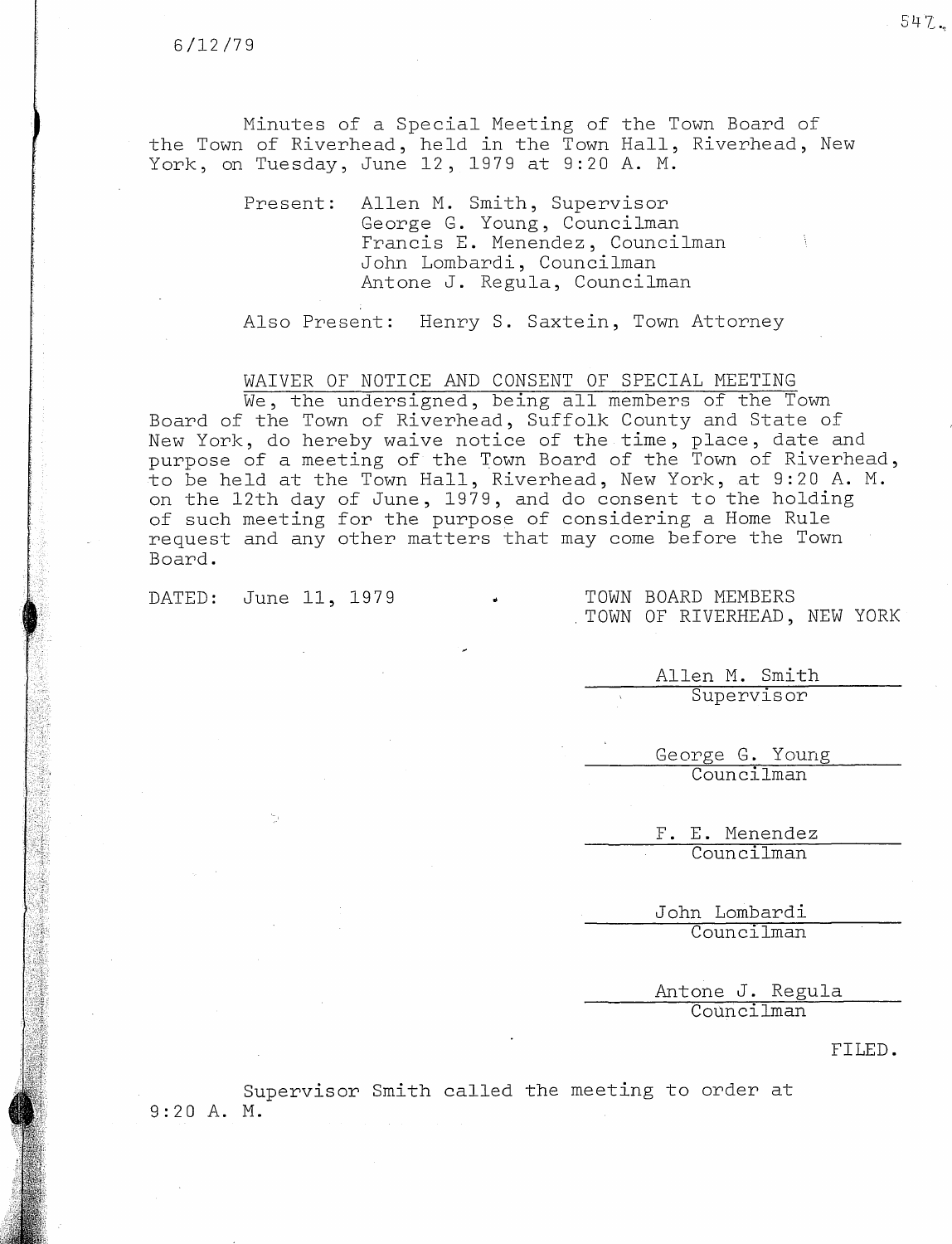Minutes of a Special Meeting of the Town Board of the Town of Riverhead, held in the Town Hall, Riverhead, New York, on Tuesday, June 12, <sup>1979</sup> at 9:20 A. M.

> Present: Allen M. Smith, Supervisor George G. Young, Counci Francis E. Menendez, Counci John Lombardi, Councilman Antone J. Regula, Councilman

Also Present: Henry S. Saxtein, Town Attorney

WAIVER OF NOTICE AND CONSENT OF SPECIAL MEETING

We, the undersigned, being all members of the Town Board of the Town of Riverhead, Suffolk County and State of New York, do hereby waive notice of the time, place, date an purpose of a meeting of the Town Board of the Town of Riverh to be held at the Town Hall, Riverhead, New York, at 9:20 A. M. on the 12th day of June, 1979, and do consent to the holding of such meeting for the purpose of considering a Home Rule request and any other matters that may come before the Town Board.

DATED: June 11, 1979 . TOWN BOARD MEMBERS

## . TOWN OF RIVERHEAD, NEW YORK

Allen M. Smith Supervisor

George G. Young Councilman

> F. E. Menendez Councilman

John Lombardi Councilman

Antone J. Regula Councilman

## FILED.

Supervisor Smith called the meeting to order at 9:20 A. M.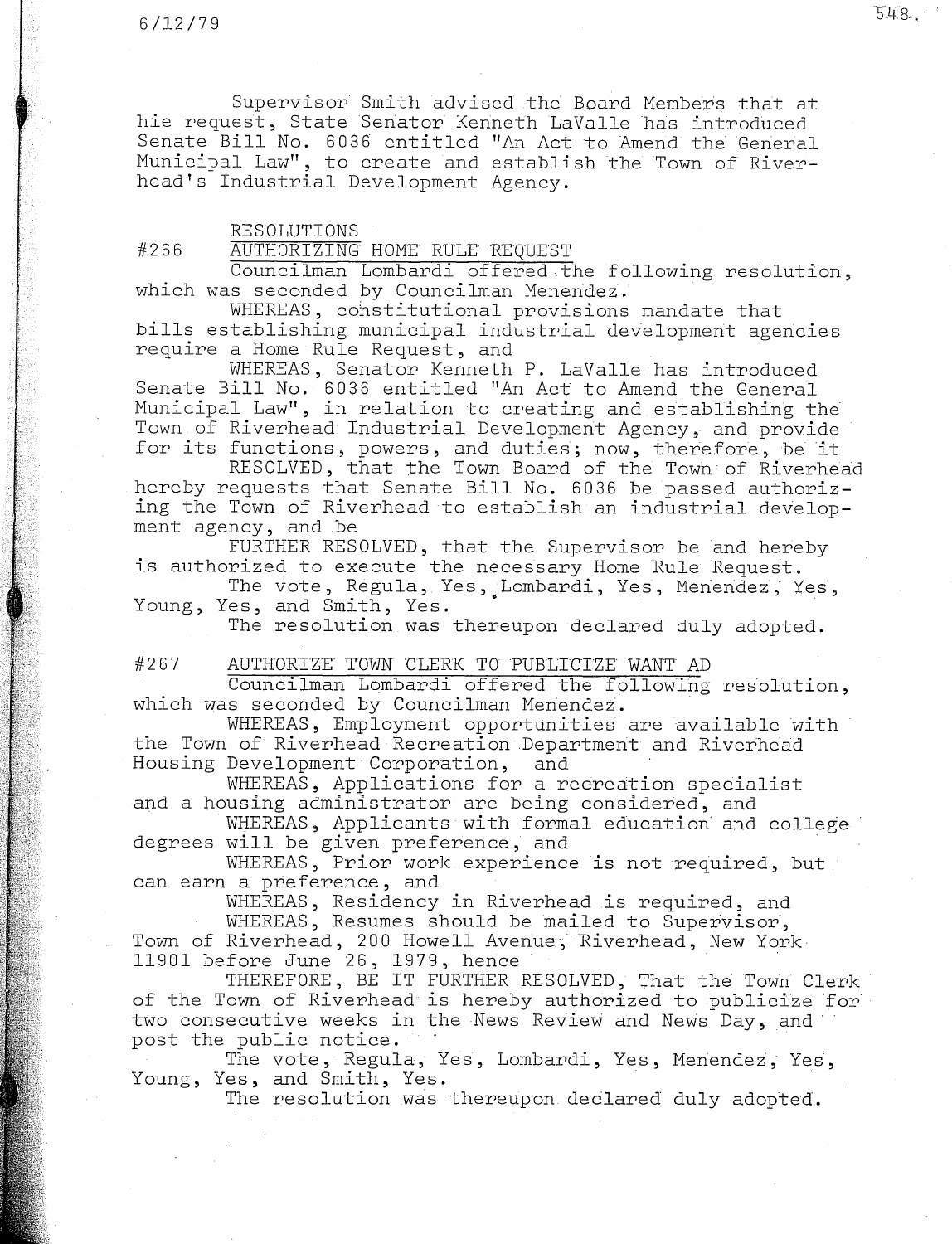Supervisor Smith advised.the Board Members that at hie request, State Senator Kenneth LaValle has introduced Senate Bill No. 6036 entitled "An Act to Amend the General Municipal Law", to create and establish the Town of Riverhead's Industrial Development Agency.

## RESOLUTIONS

#266 AUTHORIZTNG HOME RULE REQUEST

Councilman Lombardi offered the following resolution, which was seconded by Councilman Menendez.

WHEREAS, constitutional provisions mandate that bills establishing municipal industrial development agencies require a Home Rule Request, and

WHEREAS, Senator Kenneth P. LaValle has introduced Senate Bill No. 6036 entitled "An Act to Amend the General Municipal Law", in relation to creating and establishing the Town of Riverhead Industrial Development Agency, and provide for its functions, powers, and duties; now, therefore, be it

RESOLVED, that the Town Board of the Town of Riverhead hereby requests that Senate Bill No. 6036 be passed authorizing the Town of Riverhead to establish an industrial development agency, and .be

FURTHER RESOLVED, that the Supervisor be and hereby is authorized to execute the necessary Home Rule Request.

The vote, Regula, Yes, Lombardi, Yes, Menendez, Yes, Young, Yes, and Smith, Yes.

The resolution.was thereupon declared duly adopted.

## #267 AUTHORIZE TOWN CLERK TO PUBLICIZE WANT AD

Councilman Lombardi offered the following resolution, which was seconded by Councilman Menendez.

WHEREAS, Employment opportunities are available with the Town of Riverhead·Recreation.Department and Riverhead Housing Development Corporation, and

WHEREAS, Applications for a recreation specialist and a housing administrator are being considered, and

WHEREAS, Applicants with formal education and college degrees will be given preference, and

WHEREAS, Prior work experience is not required, but can earn a preference, and

WHEREAS, Residency in Riverhead is required, and

WHEREAS, Resumes should be mailed to Supervisor, Town of Riverhead, 200 Howell Avenue, Riverhead, New York 11901 before June 26, 1979, hen

THEREFORE, BE IT FURTHER RESOLVED, That the Town Cle of the Town of Riverhead is hereby authorized to publicize for two consecutive weeks in the News Review and News Day, and post the public notice.

The vote, Regula, Yes, Lombardi, Yes, Menendez, Yes, Young, Yes, and Smith, Yes.

The resolution was thereupon. declared duly adopted.